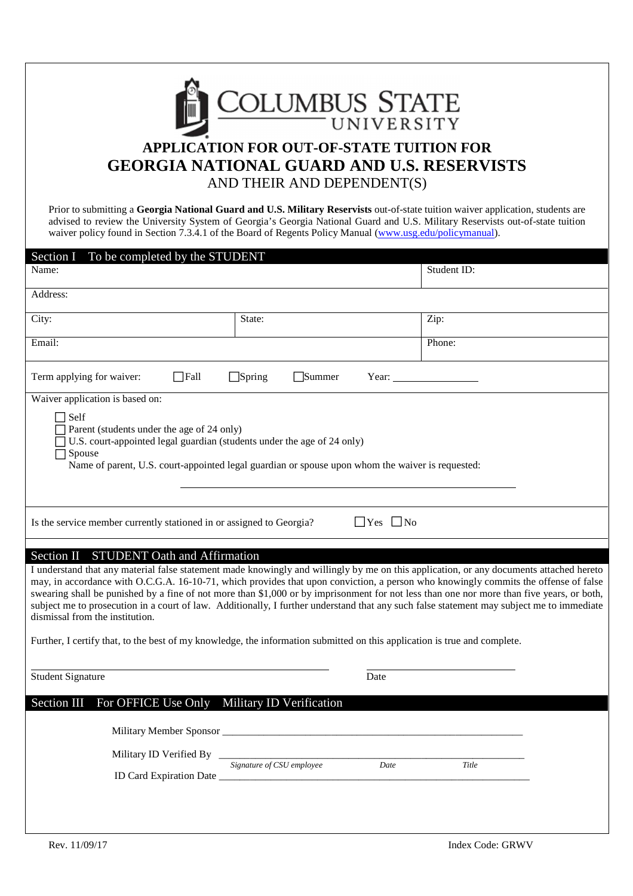

# **APPLICATION FOR OUT-OF-STATE TUITION FOR GEORGIA NATIONAL GUARD AND U.S. RESERVISTS**  AND THEIR AND DEPENDENT(S)

 Prior to submitting a **Georgia National Guard and U.S. Military Reservists** out-of-state tuition waiver application, students are advised to review the University System of Georgia's Georgia National Guard and U.S. Military Reservists out-of-state tuition waiver policy found in Section 7.3.4.1 of the Board of Regents Policy Manual (www.usg.edu/policymanual).

| To be completed by the STUDENT<br>Section I<br>Name:                                                                                                                                                                                                                                                                                                                                                                                                                                                                                                                                                                                                                                                                                     |                                   | Student ID: |
|------------------------------------------------------------------------------------------------------------------------------------------------------------------------------------------------------------------------------------------------------------------------------------------------------------------------------------------------------------------------------------------------------------------------------------------------------------------------------------------------------------------------------------------------------------------------------------------------------------------------------------------------------------------------------------------------------------------------------------------|-----------------------------------|-------------|
| Address:                                                                                                                                                                                                                                                                                                                                                                                                                                                                                                                                                                                                                                                                                                                                 |                                   |             |
| City:                                                                                                                                                                                                                                                                                                                                                                                                                                                                                                                                                                                                                                                                                                                                    | State:                            | Zip:        |
| Email:                                                                                                                                                                                                                                                                                                                                                                                                                                                                                                                                                                                                                                                                                                                                   |                                   | Phone:      |
| Term applying for waiver:<br>$\Box$ Fall<br>$\Box$ Spring<br>Summer<br>Year:                                                                                                                                                                                                                                                                                                                                                                                                                                                                                                                                                                                                                                                             |                                   |             |
| Waiver application is based on:                                                                                                                                                                                                                                                                                                                                                                                                                                                                                                                                                                                                                                                                                                          |                                   |             |
| $\Box$ Self<br>Parent (students under the age of 24 only)<br>U.S. court-appointed legal guardian (students under the age of 24 only)<br>Spouse<br>Name of parent, U.S. court-appointed legal guardian or spouse upon whom the waiver is requested:                                                                                                                                                                                                                                                                                                                                                                                                                                                                                       |                                   |             |
| $\Box$ Yes $\Box$ No<br>Is the service member currently stationed in or assigned to Georgia?                                                                                                                                                                                                                                                                                                                                                                                                                                                                                                                                                                                                                                             |                                   |             |
| <b>STUDENT Oath and Affirmation</b><br>Section II                                                                                                                                                                                                                                                                                                                                                                                                                                                                                                                                                                                                                                                                                        |                                   |             |
| I understand that any material false statement made knowingly and willingly by me on this application, or any documents attached hereto<br>may, in accordance with O.C.G.A. 16-10-71, which provides that upon conviction, a person who knowingly commits the offense of false<br>swearing shall be punished by a fine of not more than \$1,000 or by imprisonment for not less than one nor more than five years, or both,<br>subject me to prosecution in a court of law. Additionally, I further understand that any such false statement may subject me to immediate<br>dismissal from the institution.<br>Further, I certify that, to the best of my knowledge, the information submitted on this application is true and complete. |                                   |             |
| <b>Student Signature</b>                                                                                                                                                                                                                                                                                                                                                                                                                                                                                                                                                                                                                                                                                                                 | Date                              |             |
| For OFFICE Use Only<br>Section III<br>Military ID Verification                                                                                                                                                                                                                                                                                                                                                                                                                                                                                                                                                                                                                                                                           |                                   |             |
| Military ID Verified By ____                                                                                                                                                                                                                                                                                                                                                                                                                                                                                                                                                                                                                                                                                                             | Signature of CSU employee<br>Date | Title       |
|                                                                                                                                                                                                                                                                                                                                                                                                                                                                                                                                                                                                                                                                                                                                          |                                   |             |